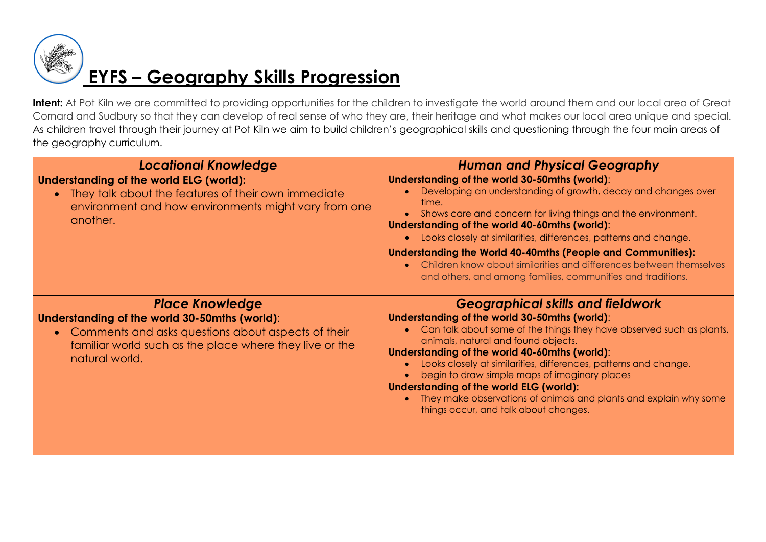

| <b>Locational Knowledge</b><br>Understanding of the world ELG (world):<br>• They talk about the features of their own immediate<br>environment and how environments might vary from one<br>another.        | <b>Human and Physical Geography</b><br>Understanding of the world 30-50mths (world):<br>Developing an understanding of growth, decay and changes over<br>time.<br>Shows care and concern for living things and the environment.<br>Understanding of the world 40-60mths (world):<br>Looks closely at similarities, differences, patterns and change.<br>Understanding the World 40-40mths (People and Communities):<br>Children know about similarities and differences between themselves<br>and others, and among families, communities and traditions. |
|------------------------------------------------------------------------------------------------------------------------------------------------------------------------------------------------------------|-----------------------------------------------------------------------------------------------------------------------------------------------------------------------------------------------------------------------------------------------------------------------------------------------------------------------------------------------------------------------------------------------------------------------------------------------------------------------------------------------------------------------------------------------------------|
| <b>Place Knowledge</b><br>Understanding of the world 30-50mths (world):<br>Comments and asks questions about aspects of their<br>familiar world such as the place where they live or the<br>natural world. | <b>Geographical skills and fieldwork</b><br>Understanding of the world 30-50mths (world):<br>Can talk about some of the things they have observed such as plants,<br>animals, natural and found objects.<br>Understanding of the world 40-60mths (world):<br>Looks closely at similarities, differences, patterns and change.<br>begin to draw simple maps of imaginary places<br>Understanding of the world ELG (world):<br>They make observations of animals and plants and explain why some<br>things occur, and talk about changes.                   |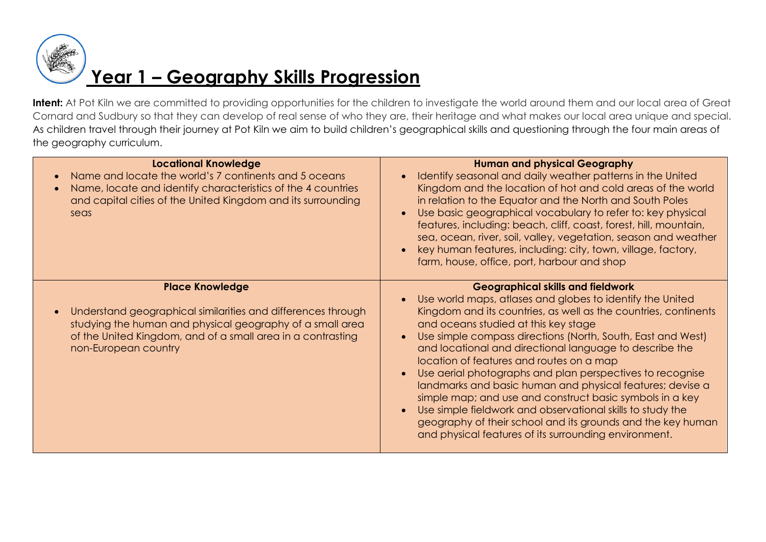

| <b>Locational Knowledge</b><br>Name and locate the world's 7 continents and 5 oceans<br>$\bullet$<br>Name, locate and identify characteristics of the 4 countries<br>$\bullet$<br>and capital cities of the United Kingdom and its surrounding<br>seas | <b>Human and physical Geography</b><br>Identify seasonal and daily weather patterns in the United<br>Kingdom and the location of hot and cold areas of the world<br>in relation to the Equator and the North and South Poles<br>Use basic geographical vocabulary to refer to: key physical<br>features, including: beach, cliff, coast, forest, hill, mountain,<br>sea, ocean, river, soil, valley, vegetation, season and weather<br>key human features, including: city, town, village, factory,<br>farm, house, office, port, harbour and shop                                                                                                                                                                                                                  |
|--------------------------------------------------------------------------------------------------------------------------------------------------------------------------------------------------------------------------------------------------------|---------------------------------------------------------------------------------------------------------------------------------------------------------------------------------------------------------------------------------------------------------------------------------------------------------------------------------------------------------------------------------------------------------------------------------------------------------------------------------------------------------------------------------------------------------------------------------------------------------------------------------------------------------------------------------------------------------------------------------------------------------------------|
| <b>Place Knowledge</b><br>Understand geographical similarities and differences through<br>studying the human and physical geography of a small area<br>of the United Kingdom, and of a small area in a contrasting<br>non-European country             | <b>Geographical skills and fieldwork</b><br>Use world maps, at lases and globes to identify the United<br>Kingdom and its countries, as well as the countries, continents<br>and oceans studied at this key stage<br>Use simple compass directions (North, South, East and West)<br>and locational and directional language to describe the<br>location of features and routes on a map<br>Use aerial photographs and plan perspectives to recognise<br>landmarks and basic human and physical features; devise a<br>simple map; and use and construct basic symbols in a key<br>Use simple fieldwork and observational skills to study the<br>geography of their school and its grounds and the key human<br>and physical features of its surrounding environment. |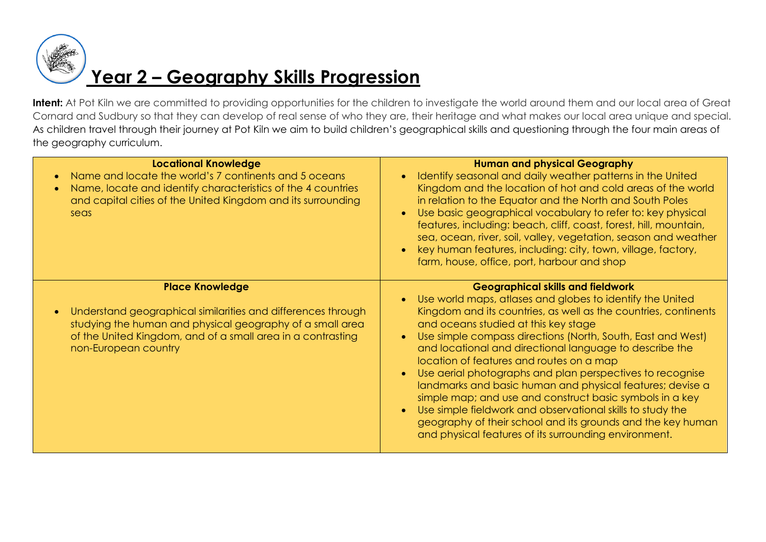

# **Year 2 – Geography Skills Progression**

| <b>Locational Knowledge</b><br>Name and locate the world's 7 continents and 5 oceans<br>Name, locate and identify characteristics of the 4 countries<br>and capital cities of the United Kingdom and its surrounding<br>seas                            | <b>Human and physical Geography</b><br>Identify seasonal and daily weather patterns in the United<br>Kingdom and the location of hot and cold areas of the world<br>in relation to the Equator and the North and South Poles<br>Use basic geographical vocabulary to refer to: key physical<br>features, including: beach, cliff, coast, forest, hill, mountain,<br>sea, ocean, river, soil, valley, vegetation, season and weather<br>key human features, including: city, town, village, factory,<br>farm, house, office, port, harbour and shop                                                                                                                                                                                                                 |
|---------------------------------------------------------------------------------------------------------------------------------------------------------------------------------------------------------------------------------------------------------|--------------------------------------------------------------------------------------------------------------------------------------------------------------------------------------------------------------------------------------------------------------------------------------------------------------------------------------------------------------------------------------------------------------------------------------------------------------------------------------------------------------------------------------------------------------------------------------------------------------------------------------------------------------------------------------------------------------------------------------------------------------------|
| <b>Place Knowledge</b><br>Understand geographical similarities and differences through<br>$\bullet$<br>studying the human and physical geography of a small area<br>of the United Kingdom, and of a small area in a contrasting<br>non-European country | <b>Geographical skills and fieldwork</b><br>Use world maps, atlases and globes to identify the United<br>Kingdom and its countries, as well as the countries, continents<br>and oceans studied at this key stage<br>Use simple compass directions (North, South, East and West)<br>and locational and directional language to describe the<br>location of features and routes on a map<br>Use aerial photographs and plan perspectives to recognise<br>landmarks and basic human and physical features; devise a<br>simple map; and use and construct basic symbols in a key<br>Use simple fieldwork and observational skills to study the<br>geography of their school and its grounds and the key human<br>and physical features of its surrounding environment. |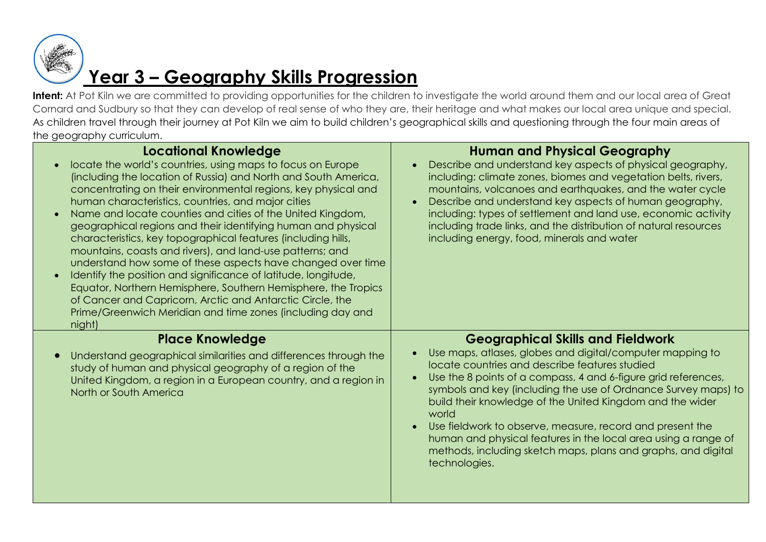

# **Year 3 – Geography Skills Progression**

| <b>Locational Knowledge</b><br>locate the world's countries, using maps to focus on Europe<br>(including the location of Russia) and North and South America,<br>concentrating on their environmental regions, key physical and<br>human characteristics, countries, and major cities<br>Name and locate counties and cities of the United Kingdom,<br>geographical regions and their identifying human and physical<br>characteristics, key topographical features (including hills,<br>mountains, coasts and rivers), and land-use patterns; and<br>understand how some of these aspects have changed over time<br>Identify the position and significance of latitude, longitude,<br>Equator, Northern Hemisphere, Southern Hemisphere, the Tropics<br>of Cancer and Capricorn, Arctic and Antarctic Circle, the<br>Prime/Greenwich Meridian and time zones (including day and<br>night) | <b>Human and Physical Geography</b><br>Describe and understand key aspects of physical geography,<br>including: climate zones, biomes and vegetation belts, rivers,<br>mountains, volcanoes and earthquakes, and the water cycle<br>Describe and understand key aspects of human geography,<br>including: types of settlement and land use, economic activity<br>including trade links, and the distribution of natural resources<br>including energy, food, minerals and water                                                                                                                 |
|--------------------------------------------------------------------------------------------------------------------------------------------------------------------------------------------------------------------------------------------------------------------------------------------------------------------------------------------------------------------------------------------------------------------------------------------------------------------------------------------------------------------------------------------------------------------------------------------------------------------------------------------------------------------------------------------------------------------------------------------------------------------------------------------------------------------------------------------------------------------------------------------|-------------------------------------------------------------------------------------------------------------------------------------------------------------------------------------------------------------------------------------------------------------------------------------------------------------------------------------------------------------------------------------------------------------------------------------------------------------------------------------------------------------------------------------------------------------------------------------------------|
| <b>Place Knowledge</b><br>Understand geographical similarities and differences through the<br>study of human and physical geography of a region of the<br>United Kingdom, a region in a European country, and a region in<br>North or South America                                                                                                                                                                                                                                                                                                                                                                                                                                                                                                                                                                                                                                        | <b>Geographical Skills and Fieldwork</b><br>Use maps, atlases, globes and digital/computer mapping to<br>$\bullet$<br>locate countries and describe features studied<br>Use the 8 points of a compass, 4 and 6-figure grid references,<br>symbols and key (including the use of Ordnance Survey maps) to<br>build their knowledge of the United Kingdom and the wider<br>world<br>Use fieldwork to observe, measure, record and present the<br>human and physical features in the local area using a range of<br>methods, including sketch maps, plans and graphs, and digital<br>technologies. |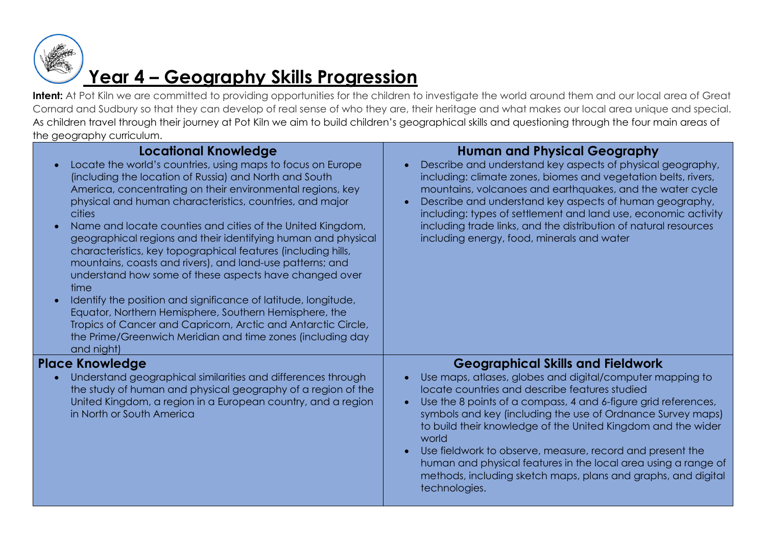

# **Year 4 – Geography Skills Progression**

| Locational Knowledge<br>Locate the world's countries, using maps to focus on Europe<br>(including the location of Russia) and North and South<br>America, concentrating on their environmental regions, key<br>physical and human characteristics, countries, and major<br>cities<br>Name and locate counties and cities of the United Kingdom,<br>geographical regions and their identifying human and physical<br>characteristics, key topographical features (including hills,<br>mountains, coasts and rivers), and land-use patterns; and<br>understand how some of these aspects have changed over<br>time<br>Identify the position and significance of latitude, longitude,<br>Equator, Northern Hemisphere, Southern Hemisphere, the<br>Tropics of Cancer and Capricorn, Arctic and Antarctic Circle,<br>the Prime/Greenwich Meridian and time zones (including day<br>and night) | <b>Human and Physical Geography</b><br>Describe and understand key aspects of physical geography,<br>including: climate zones, biomes and vegetation belts, rivers,<br>mountains, volcanoes and earthquakes, and the water cycle<br>Describe and understand key aspects of human geography,<br>including: types of settlement and land use, economic activity<br>including trade links, and the distribution of natural resources<br>including energy, food, minerals and water                                                                                                                 |
|-------------------------------------------------------------------------------------------------------------------------------------------------------------------------------------------------------------------------------------------------------------------------------------------------------------------------------------------------------------------------------------------------------------------------------------------------------------------------------------------------------------------------------------------------------------------------------------------------------------------------------------------------------------------------------------------------------------------------------------------------------------------------------------------------------------------------------------------------------------------------------------------|-------------------------------------------------------------------------------------------------------------------------------------------------------------------------------------------------------------------------------------------------------------------------------------------------------------------------------------------------------------------------------------------------------------------------------------------------------------------------------------------------------------------------------------------------------------------------------------------------|
| <b>Place Knowledge</b><br>Understand geographical similarities and differences through<br>the study of human and physical geography of a region of the<br>United Kingdom, a region in a European country, and a region<br>in North or South America                                                                                                                                                                                                                                                                                                                                                                                                                                                                                                                                                                                                                                       | <b>Geographical Skills and Fieldwork</b><br>Use maps, atlases, globes and digital/computer mapping to<br>locate countries and describe features studied<br>Use the 8 points of a compass, 4 and 6-figure grid references,<br>$\bullet$<br>symbols and key (including the use of Ordnance Survey maps)<br>to build their knowledge of the United Kingdom and the wider<br>world<br>Use fieldwork to observe, measure, record and present the<br>human and physical features in the local area using a range of<br>methods, including sketch maps, plans and graphs, and digital<br>technologies. |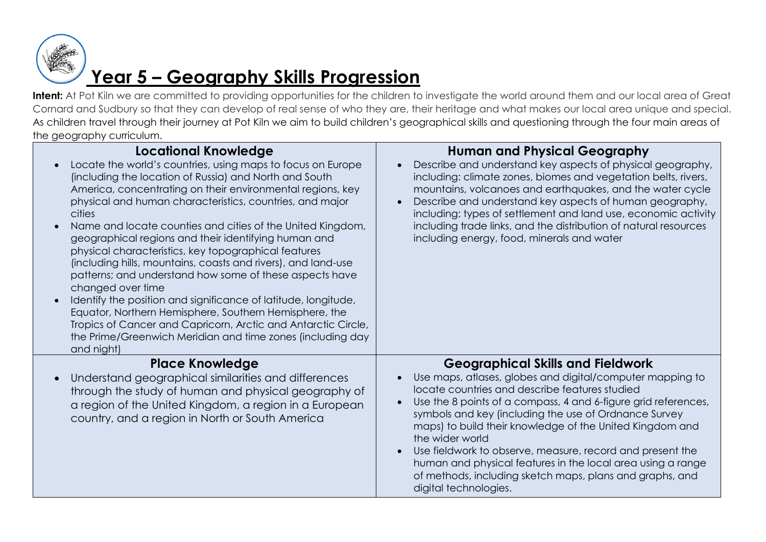

# **Year 5 – Geography Skills Progression**

| <b>Locational Knowledge</b><br>Locate the world's countries, using maps to focus on Europe<br>(including the location of Russia) and North and South<br>America, concentrating on their environmental regions, key<br>physical and human characteristics, countries, and major<br>cities<br>Name and locate counties and cities of the United Kingdom,<br>geographical regions and their identifying human and<br>physical characteristics, key topographical features<br>(including hills, mountains, coasts and rivers), and land-use<br>patterns; and understand how some of these aspects have<br>changed over time<br>Identify the position and significance of latitude, longitude,<br>Equator, Northern Hemisphere, Southern Hemisphere, the<br>Tropics of Cancer and Capricorn, Arctic and Antarctic Circle,<br>the Prime/Greenwich Meridian and time zones (including day<br>and night) | <b>Human and Physical Geography</b><br>Describe and understand key aspects of physical geography,<br>including: climate zones, biomes and vegetation belts, rivers,<br>mountains, volcanoes and earthquakes, and the water cycle<br>Describe and understand key aspects of human geography,<br>including: types of settlement and land use, economic activity<br>including trade links, and the distribution of natural resources<br>including energy, food, minerals and water                                                                                                    |
|--------------------------------------------------------------------------------------------------------------------------------------------------------------------------------------------------------------------------------------------------------------------------------------------------------------------------------------------------------------------------------------------------------------------------------------------------------------------------------------------------------------------------------------------------------------------------------------------------------------------------------------------------------------------------------------------------------------------------------------------------------------------------------------------------------------------------------------------------------------------------------------------------|------------------------------------------------------------------------------------------------------------------------------------------------------------------------------------------------------------------------------------------------------------------------------------------------------------------------------------------------------------------------------------------------------------------------------------------------------------------------------------------------------------------------------------------------------------------------------------|
| <b>Place Knowledge</b><br>Understand geographical similarities and differences<br>through the study of human and physical geography of<br>a region of the United Kingdom, a region in a European<br>country, and a region in North or South America                                                                                                                                                                                                                                                                                                                                                                                                                                                                                                                                                                                                                                              | <b>Geographical Skills and Fieldwork</b><br>Use maps, atlases, globes and digital/computer mapping to<br>locate countries and describe features studied<br>Use the 8 points of a compass, 4 and 6-figure grid references,<br>symbols and key (including the use of Ordnance Survey<br>maps) to build their knowledge of the United Kingdom and<br>the wider world<br>Use fieldwork to observe, measure, record and present the<br>human and physical features in the local area using a range<br>of methods, including sketch maps, plans and graphs, and<br>digital technologies. |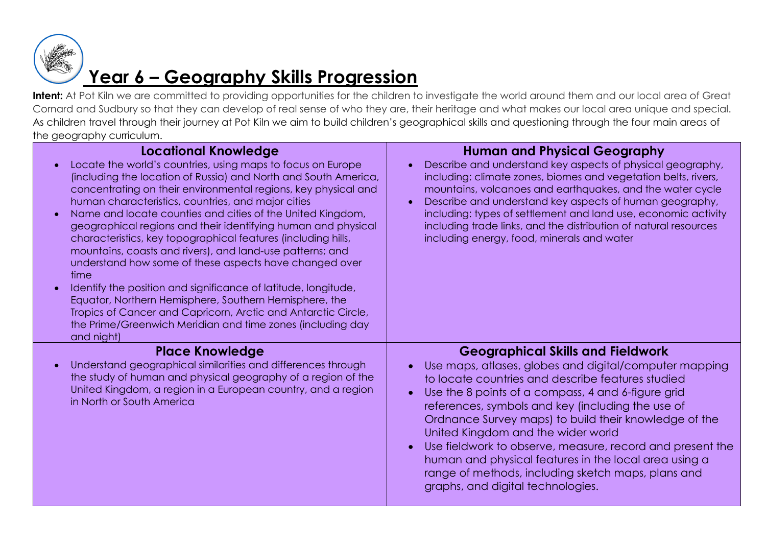

### **Year 6 – Geography Skills Progression**

| Locational Knowledge<br>Locate the world's countries, using maps to focus on Europe<br>(including the location of Russia) and North and South America,<br>concentrating on their environmental regions, key physical and<br>human characteristics, countries, and major cities<br>Name and locate counties and cities of the United Kingdom,<br>geographical regions and their identifying human and physical<br>characteristics, key topographical features (including hills,<br>mountains, coasts and rivers), and land-use patterns; and<br>understand how some of these aspects have changed over<br>time<br>Identify the position and significance of latitude, longitude,<br>Equator, Northern Hemisphere, Southern Hemisphere, the<br>Tropics of Cancer and Capricorn, Arctic and Antarctic Circle,<br>the Prime/Greenwich Meridian and time zones (including day<br>and night) | <b>Human and Physical Geography</b><br>Describe and understand key aspects of physical geography,<br>including: climate zones, biomes and vegetation belts, rivers,<br>mountains, volcanoes and earthquakes, and the water cycle<br>Describe and understand key aspects of human geography,<br>including: types of settlement and land use, economic activity<br>including trade links, and the distribution of natural resources<br>including energy, food, minerals and water                                                                                                                 |
|----------------------------------------------------------------------------------------------------------------------------------------------------------------------------------------------------------------------------------------------------------------------------------------------------------------------------------------------------------------------------------------------------------------------------------------------------------------------------------------------------------------------------------------------------------------------------------------------------------------------------------------------------------------------------------------------------------------------------------------------------------------------------------------------------------------------------------------------------------------------------------------|-------------------------------------------------------------------------------------------------------------------------------------------------------------------------------------------------------------------------------------------------------------------------------------------------------------------------------------------------------------------------------------------------------------------------------------------------------------------------------------------------------------------------------------------------------------------------------------------------|
| <b>Place Knowledge</b><br>Understand geographical similarities and differences through<br>the study of human and physical geography of a region of the<br>United Kingdom, a region in a European country, and a region<br>in North or South America                                                                                                                                                                                                                                                                                                                                                                                                                                                                                                                                                                                                                                    | <b>Geographical Skills and Fieldwork</b><br>Use maps, atlases, globes and digital/computer mapping<br>$\bullet$<br>to locate countries and describe features studied<br>Use the 8 points of a compass, 4 and 6-figure grid<br>references, symbols and key (including the use of<br>Ordnance Survey maps) to build their knowledge of the<br>United Kingdom and the wider world<br>Use fieldwork to observe, measure, record and present the<br>human and physical features in the local area using a<br>range of methods, including sketch maps, plans and<br>graphs, and digital technologies. |